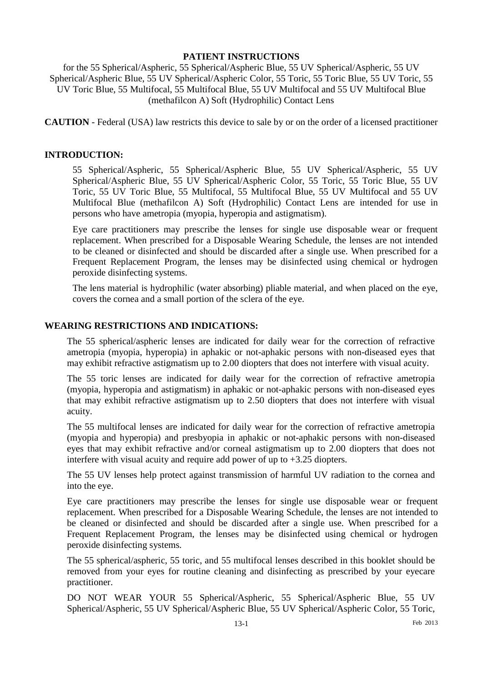#### **PATIENT INSTRUCTIONS**

for the 55 Spherical/Aspheric, 55 Spherical/Aspheric Blue, 55 UV Spherical/Aspheric, 55 UV Spherical/Aspheric Blue, 55 UV Spherical/Aspheric Color, 55 Toric, 55 Toric Blue, 55 UV Toric, 55 UV Toric Blue, 55 Multifocal, 55 Multifocal Blue, 55 UV Multifocal and 55 UV Multifocal Blue (methafilcon A) Soft (Hydrophilic) Contact Lens

**CAUTION** - Federal (USA) law restricts this device to sale by or on the order of a licensed practitioner

#### **INTRODUCTION:**

55 Spherical/Aspheric, 55 Spherical/Aspheric Blue, 55 UV Spherical/Aspheric, 55 UV Spherical/Aspheric Blue, 55 UV Spherical/Aspheric Color, 55 Toric, 55 Toric Blue, 55 UV Toric, 55 UV Toric Blue, 55 Multifocal, 55 Multifocal Blue, 55 UV Multifocal and 55 UV Multifocal Blue (methafilcon A) Soft (Hydrophilic) Contact Lens are intended for use in persons who have ametropia (myopia, hyperopia and astigmatism).

Eye care practitioners may prescribe the lenses for single use disposable wear or frequent replacement. When prescribed for a Disposable Wearing Schedule, the lenses are not intended to be cleaned or disinfected and should be discarded after a single use. When prescribed for a Frequent Replacement Program, the lenses may be disinfected using chemical or hydrogen peroxide disinfecting systems.

The lens material is hydrophilic (water absorbing) pliable material, and when placed on the eye, covers the cornea and a small portion of the sclera of the eye.

# **WEARING RESTRICTIONS AND INDICATIONS:**

The 55 spherical/aspheric lenses are indicated for daily wear for the correction of refractive ametropia (myopia, hyperopia) in aphakic or not-aphakic persons with non-diseased eyes that may exhibit refractive astigmatism up to 2.00 diopters that does not interfere with visual acuity.

The 55 toric lenses are indicated for daily wear for the correction of refractive ametropia (myopia, hyperopia and astigmatism) in aphakic or not-aphakic persons with non-diseased eyes that may exhibit refractive astigmatism up to 2.50 diopters that does not interfere with visual acuity.

The 55 multifocal lenses are indicated for daily wear for the correction of refractive ametropia (myopia and hyperopia) and presbyopia in aphakic or not-aphakic persons with non-diseased eyes that may exhibit refractive and/or corneal astigmatism up to 2.00 diopters that does not interfere with visual acuity and require add power of up to +3.25 diopters.

The 55 UV lenses help protect against transmission of harmful UV radiation to the cornea and into the eye.

Eye care practitioners may prescribe the lenses for single use disposable wear or frequent replacement. When prescribed for a Disposable Wearing Schedule, the lenses are not intended to be cleaned or disinfected and should be discarded after a single use. When prescribed for a Frequent Replacement Program, the lenses may be disinfected using chemical or hydrogen peroxide disinfecting systems.

The 55 spherical/aspheric, 55 toric, and 55 multifocal lenses described in this booklet should be removed from your eyes for routine cleaning and disinfecting as prescribed by your eyecare practitioner.

DO NOT WEAR YOUR 55 Spherical/Aspheric, 55 Spherical/Aspheric Blue, 55 UV Spherical/Aspheric, 55 UV Spherical/Aspheric Blue, 55 UV Spherical/Aspheric Color, 55 Toric,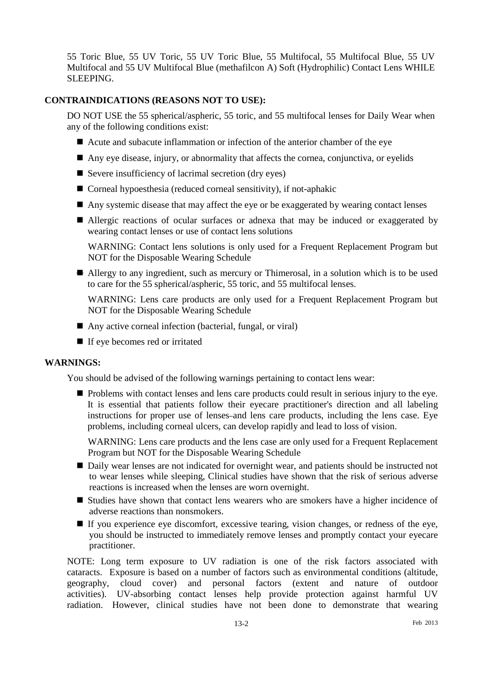55 Toric Blue, 55 UV Toric, 55 UV Toric Blue, 55 Multifocal, 55 Multifocal Blue, 55 UV Multifocal and 55 UV Multifocal Blue (methafilcon A) Soft (Hydrophilic) Contact Lens WHILE SLEEPING.

# **CONTRAINDICATIONS (REASONS NOT TO USE):**

DO NOT USE the 55 spherical/aspheric, 55 toric, and 55 multifocal lenses for Daily Wear when any of the following conditions exist:

- Acute and subacute inflammation or infection of the anterior chamber of the eye
- Any eye disease, injury, or abnormality that affects the cornea, conjunctiva, or eyelids
- Severe insufficiency of lacrimal secretion (dry eyes)
- Corneal hypoesthesia (reduced corneal sensitivity), if not-aphakic
- Any systemic disease that may affect the eye or be exaggerated by wearing contact lenses
- Allergic reactions of ocular surfaces or adnexa that may be induced or exaggerated by wearing contact lenses or use of contact lens solutions

WARNING: Contact lens solutions is only used for a Frequent Replacement Program but NOT for the Disposable Wearing Schedule

Allergy to any ingredient, such as mercury or Thimerosal, in a solution which is to be used to care for the 55 spherical/aspheric, 55 toric, and 55 multifocal lenses.

WARNING: Lens care products are only used for a Frequent Replacement Program but NOT for the Disposable Wearing Schedule

- Any active corneal infection (bacterial, fungal, or viral)
- If eye becomes red or irritated

# **WARNINGS:**

You should be advised of the following warnings pertaining to contact lens wear:

Problems with contact lenses and lens care products could result in serious injury to the eye. It is essential that patients follow their eyecare practitioner's direction and all labeling instructions for proper use of lenses-and lens care products, including the lens case. Eye problems, including corneal ulcers, can develop rapidly and lead to loss of vision.

WARNING: Lens care products and the lens case are only used for a Frequent Replacement Program but NOT for the Disposable Wearing Schedule

- Daily wear lenses are not indicated for overnight wear, and patients should be instructed not to wear lenses while sleeping, Clinical studies have shown that the risk of serious adverse reactions is increased when the lenses are worn overnight.
- Studies have shown that contact lens wearers who are smokers have a higher incidence of adverse reactions than nonsmokers.
- $\blacksquare$  If you experience eye discomfort, excessive tearing, vision changes, or redness of the eye, you should be instructed to immediately remove lenses and promptly contact your eyecare practitioner.

NOTE: Long term exposure to UV radiation is one of the risk factors associated with cataracts. Exposure is based on a number of factors such as environmental conditions (altitude, geography, cloud cover) and personal factors (extent and nature of outdoor activities). UV-absorbing contact lenses help provide protection against harmful UV radiation. However, clinical studies have not been done to demonstrate that wearing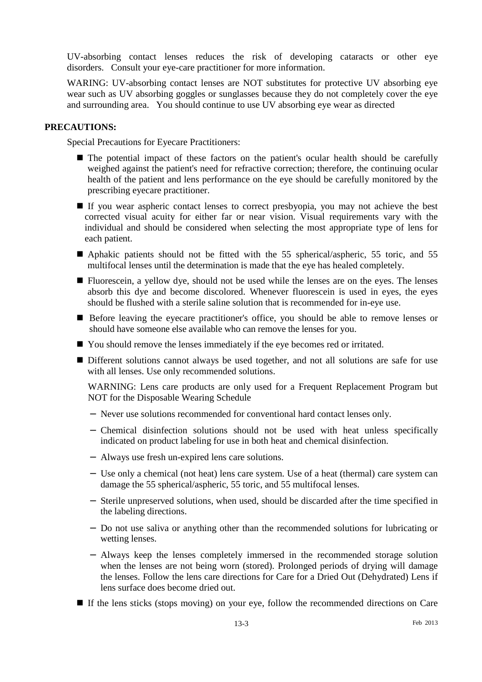UV-absorbing contact lenses reduces the risk of developing cataracts or other eye disorders. Consult your eye-care practitioner for more information.

WARING: UV-absorbing contact lenses are NOT substitutes for protective UV absorbing eye wear such as UV absorbing goggles or sunglasses because they do not completely cover the eye and surrounding area. You should continue to use UV absorbing eye wear as directed

#### **PRECAUTIONS:**

Special Precautions for Eyecare Practitioners:

- The potential impact of these factors on the patient's ocular health should be carefully weighed against the patient's need for refractive correction; therefore, the continuing ocular health of the patient and lens performance on the eye should be carefully monitored by the prescribing eyecare practitioner.
- If you wear aspheric contact lenses to correct presbyopia, you may not achieve the best corrected visual acuity for either far or near vision. Visual requirements vary with the individual and should be considered when selecting the most appropriate type of lens for each patient.
- Aphakic patients should not be fitted with the 55 spherical/aspheric, 55 toric, and 55 multifocal lenses until the determination is made that the eye has healed completely.
- Fluorescein, a yellow dye, should not be used while the lenses are on the eyes. The lenses absorb this dye and become discolored. Whenever fluorescein is used in eyes, the eyes should be flushed with a sterile saline solution that is recommended for in-eye use.
- Before leaving the eyecare practitioner's office, you should be able to remove lenses or should have someone else available who can remove the lenses for you.
- You should remove the lenses immediately if the eye becomes red or irritated.
- Different solutions cannot always be used together, and not all solutions are safe for use with all lenses. Use only recommended solutions.

WARNING: Lens care products are only used for a Frequent Replacement Program but NOT for the Disposable Wearing Schedule

- − Never use solutions recommended for conventional hard contact lenses only.
- − Chemical disinfection solutions should not be used with heat unless specifically indicated on product labeling for use in both heat and chemical disinfection.
- − Always use fresh un-expired lens care solutions.
- − Use only a chemical (not heat) lens care system. Use of a heat (thermal) care system can damage the 55 spherical/aspheric, 55 toric, and 55 multifocal lenses.
- − Sterile unpreserved solutions, when used, should be discarded after the time specified in the labeling directions.
- − Do not use saliva or anything other than the recommended solutions for lubricating or wetting lenses.
- − Always keep the lenses completely immersed in the recommended storage solution when the lenses are not being worn (stored). Prolonged periods of drying will damage the lenses. Follow the lens care directions for Care for a Dried Out (Dehydrated) Lens if lens surface does become dried out.
- If the lens sticks (stops moving) on your eye, follow the recommended directions on Care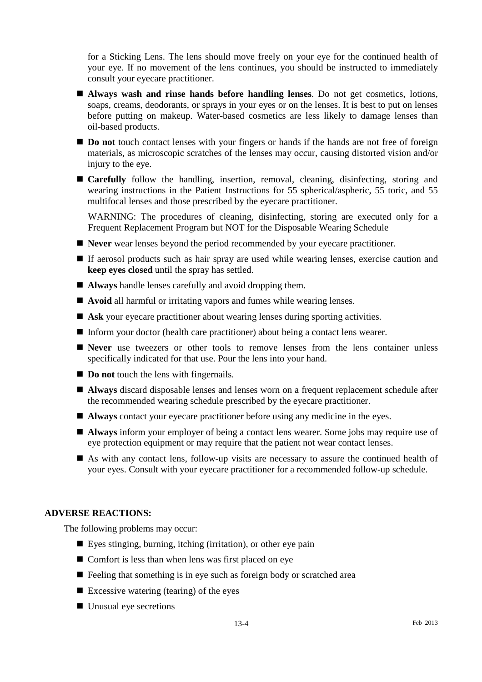for a Sticking Lens. The lens should move freely on your eye for the continued health of your eye. If no movement of the lens continues, you should be instructed to immediately consult your eyecare practitioner.

- **Always wash and rinse hands before handling lenses**. Do not get cosmetics, lotions, soaps, creams, deodorants, or sprays in your eyes or on the lenses. It is best to put on lenses before putting on makeup. Water-based cosmetics are less likely to damage lenses than oil-based products.
- **Do not** touch contact lenses with your fingers or hands if the hands are not free of foreign materials, as microscopic scratches of the lenses may occur, causing distorted vision and/or injury to the eye.
- **Carefully** follow the handling, insertion, removal, cleaning, disinfecting, storing and wearing instructions in the Patient Instructions for 55 spherical/aspheric, 55 toric, and 55 multifocal lenses and those prescribed by the eyecare practitioner.

WARNING: The procedures of cleaning, disinfecting, storing are executed only for a Frequent Replacement Program but NOT for the Disposable Wearing Schedule

- **Never** wear lenses beyond the period recommended by your eyecare practitioner.
- If aerosol products such as hair spray are used while wearing lenses, exercise caution and **keep eyes closed** until the spray has settled.
- **Always** handle lenses carefully and avoid dropping them.
- **Avoid** all harmful or irritating vapors and fumes while wearing lenses.
- Ask your eyecare practitioner about wearing lenses during sporting activities.
- Inform your doctor (health care practitioner) about being a contact lens wearer.
- **Never** use tweezers or other tools to remove lenses from the lens container unless specifically indicated for that use. Pour the lens into your hand.
- **Do not** touch the lens with fingernails.
- **Always** discard disposable lenses and lenses worn on a frequent replacement schedule after the recommended wearing schedule prescribed by the eyecare practitioner.
- **Always** contact your eyecare practitioner before using any medicine in the eyes.
- **Always** inform your employer of being a contact lens wearer. Some jobs may require use of eye protection equipment or may require that the patient not wear contact lenses.
- As with any contact lens, follow-up visits are necessary to assure the continued health of your eyes. Consult with your eyecare practitioner for a recommended follow-up schedule.

### **ADVERSE REACTIONS:**

The following problems may occur:

- Eyes stinging, burning, itching (irritation), or other eye pain
- Comfort is less than when lens was first placed on eye
- $\blacksquare$  Feeling that something is in eye such as foreign body or scratched area
- Excessive watering (tearing) of the eyes
- Unusual eye secretions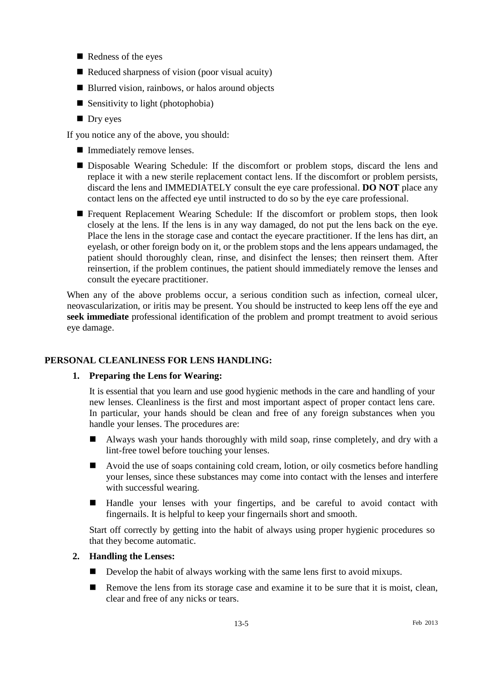- Redness of the eyes
- $\blacksquare$  Reduced sharpness of vision (poor visual acuity)
- Blurred vision, rainbows, or halos around objects
- Sensitivity to light (photophobia)
- **Dry eyes**

If you notice any of the above, you should:

- **Immediately remove lenses.**
- Disposable Wearing Schedule: If the discomfort or problem stops, discard the lens and replace it with a new sterile replacement contact lens. If the discomfort or problem persists, discard the lens and IMMEDIATELY consult the eye care professional. **DO NOT** place any contact lens on the affected eye until instructed to do so by the eye care professional.
- Frequent Replacement Wearing Schedule: If the discomfort or problem stops, then look closely at the lens. If the lens is in any way damaged, do not put the lens back on the eye. Place the lens in the storage case and contact the eyecare practitioner. If the lens has dirt, an eyelash, or other foreign body on it, or the problem stops and the lens appears undamaged, the patient should thoroughly clean, rinse, and disinfect the lenses; then reinsert them. After reinsertion, if the problem continues, the patient should immediately remove the lenses and consult the eyecare practitioner.

When any of the above problems occur, a serious condition such as infection, corneal ulcer, neovascularization, or iritis may be present. You should be instructed to keep lens off the eye and **seek immediate** professional identification of the problem and prompt treatment to avoid serious eye damage.

# **PERSONAL CLEANLINESS FOR LENS HANDLING:**

# **1. Preparing the Lens for Wearing:**

It is essential that you learn and use good hygienic methods in the care and handling of your new lenses. Cleanliness is the first and most important aspect of proper contact lens care. In particular, your hands should be clean and free of any foreign substances when you handle your lenses. The procedures are:

- Always wash your hands thoroughly with mild soap, rinse completely, and dry with a lint-free towel before touching your lenses.
- Avoid the use of soaps containing cold cream, lotion, or oily cosmetics before handling your lenses, since these substances may come into contact with the lenses and interfere with successful wearing.
- Handle your lenses with your fingertips, and be careful to avoid contact with fingernails. It is helpful to keep your fingernails short and smooth.

Start off correctly by getting into the habit of always using proper hygienic procedures so that they become automatic.

# **2. Handling the Lenses:**

- Develop the habit of always working with the same lens first to avoid mixups.
- **Remove the lens from its storage case and examine it to be sure that it is moist, clean,** clear and free of any nicks or tears.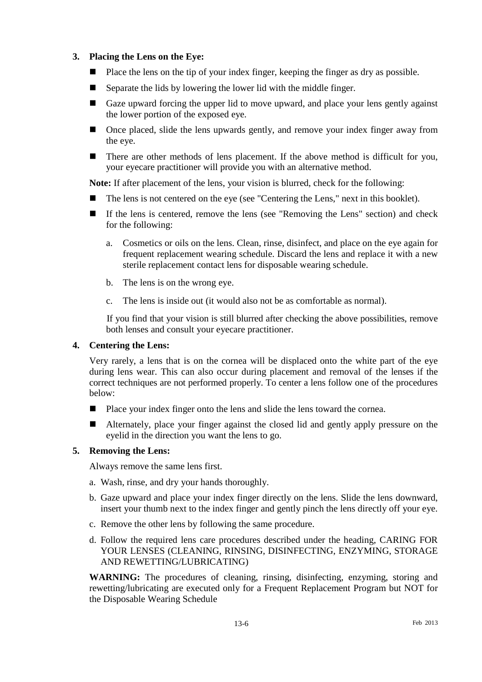# **3. Placing the Lens on the Eye:**

- Place the lens on the tip of your index finger, keeping the finger as dry as possible.
- Separate the lids by lowering the lower lid with the middle finger.
- Gaze upward forcing the upper lid to move upward, and place your lens gently against the lower portion of the exposed eye.
- Once placed, slide the lens upwards gently, and remove your index finger away from the eye.
- There are other methods of lens placement. If the above method is difficult for you, your eyecare practitioner will provide you with an alternative method.

**Note:** If after placement of the lens, your vision is blurred, check for the following:

- The lens is not centered on the eye (see "Centering the Lens," next in this booklet).
- If the lens is centered, remove the lens (see "Removing the Lens" section) and check for the following:
	- a. Cosmetics or oils on the lens. Clean, rinse, disinfect, and place on the eye again for frequent replacement wearing schedule. Discard the lens and replace it with a new sterile replacement contact lens for disposable wearing schedule.
	- b. The lens is on the wrong eye.
	- c. The lens is inside out (it would also not be as comfortable as normal).

If you find that your vision is still blurred after checking the above possibilities, remove both lenses and consult your eyecare practitioner.

# **4. Centering the Lens:**

Very rarely, a lens that is on the cornea will be displaced onto the white part of the eye during lens wear. This can also occur during placement and removal of the lenses if the correct techniques are not performed properly. To center a lens follow one of the procedures below:

- Place your index finger onto the lens and slide the lens toward the cornea.
- Alternately, place your finger against the closed lid and gently apply pressure on the eyelid in the direction you want the lens to go.

# **5. Removing the Lens:**

Always remove the same lens first.

- a. Wash, rinse, and dry your hands thoroughly.
- b. Gaze upward and place your index finger directly on the lens. Slide the lens downward, insert your thumb next to the index finger and gently pinch the lens directly off your eye.
- c. Remove the other lens by following the same procedure.
- d. Follow the required lens care procedures described under the heading, CARING FOR YOUR LENSES (CLEANING, RINSING, DISINFECTING, ENZYMING, STORAGE AND REWETTING/LUBRICATING)

**WARNING:** The procedures of cleaning, rinsing, disinfecting, enzyming, storing and rewetting/lubricating are executed only for a Frequent Replacement Program but NOT for the Disposable Wearing Schedule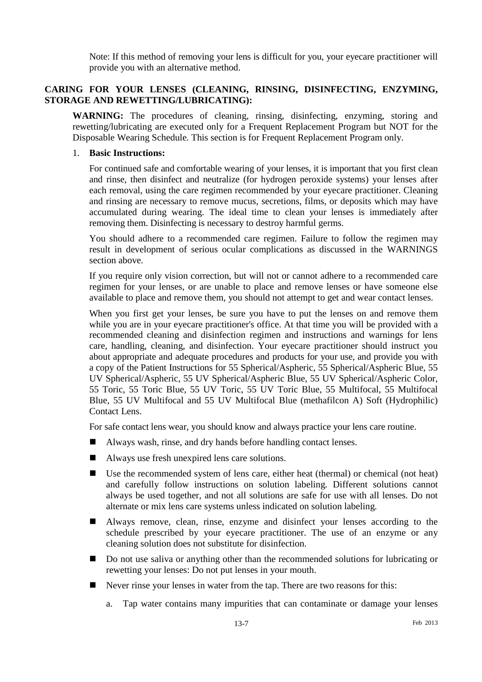Note: If this method of removing your lens is difficult for you, your eyecare practitioner will provide you with an alternative method.

# **CARING FOR YOUR LENSES (CLEANING, RINSING, DISINFECTING, ENZYMING, STORAGE AND REWETTING/LUBRICATING):**

**WARNING:** The procedures of cleaning, rinsing, disinfecting, enzyming, storing and rewetting/lubricating are executed only for a Frequent Replacement Program but NOT for the Disposable Wearing Schedule. This section is for Frequent Replacement Program only.

#### 1. **Basic Instructions:**

For continued safe and comfortable wearing of your lenses, it is important that you first clean and rinse, then disinfect and neutralize (for hydrogen peroxide systems) your lenses after each removal, using the care regimen recommended by your eyecare practitioner. Cleaning and rinsing are necessary to remove mucus, secretions, films, or deposits which may have accumulated during wearing. The ideal time to clean your lenses is immediately after removing them. Disinfecting is necessary to destroy harmful germs.

You should adhere to a recommended care regimen. Failure to follow the regimen may result in development of serious ocular complications as discussed in the WARNINGS section above.

If you require only vision correction, but will not or cannot adhere to a recommended care regimen for your lenses, or are unable to place and remove lenses or have someone else available to place and remove them, you should not attempt to get and wear contact lenses.

When you first get your lenses, be sure you have to put the lenses on and remove them while you are in your eyecare practitioner's office. At that time you will be provided with a recommended cleaning and disinfection regimen and instructions and warnings for lens care, handling, cleaning, and disinfection. Your eyecare practitioner should instruct you about appropriate and adequate procedures and products for your use, and provide you with a copy of the Patient Instructions for 55 Spherical/Aspheric, 55 Spherical/Aspheric Blue, 55 UV Spherical/Aspheric, 55 UV Spherical/Aspheric Blue, 55 UV Spherical/Aspheric Color, 55 Toric, 55 Toric Blue, 55 UV Toric, 55 UV Toric Blue, 55 Multifocal, 55 Multifocal Blue, 55 UV Multifocal and 55 UV Multifocal Blue (methafilcon A) Soft (Hydrophilic) Contact Lens.

For safe contact lens wear, you should know and always practice your lens care routine.

- Always wash, rinse, and dry hands before handling contact lenses.
- Always use fresh unexpired lens care solutions.
- Use the recommended system of lens care, either heat (thermal) or chemical (not heat) and carefully follow instructions on solution labeling. Different solutions cannot always be used together, and not all solutions are safe for use with all lenses. Do not alternate or mix lens care systems unless indicated on solution labeling.
- Always remove, clean, rinse, enzyme and disinfect your lenses according to the schedule prescribed by your eyecare practitioner. The use of an enzyme or any cleaning solution does not substitute for disinfection.
- Do not use saliva or anything other than the recommended solutions for lubricating or rewetting your lenses: Do not put lenses in your mouth.
- Never rinse your lenses in water from the tap. There are two reasons for this:
	- a. Tap water contains many impurities that can contaminate or damage your lenses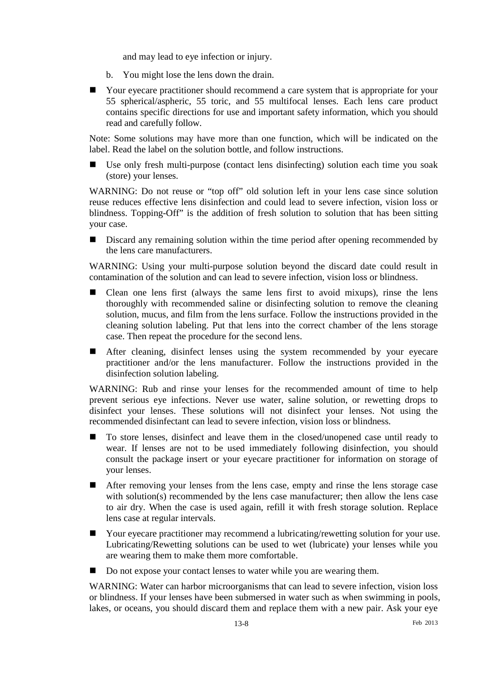and may lead to eye infection or injury.

- b. You might lose the lens down the drain.
- Your eyecare practitioner should recommend a care system that is appropriate for your 55 spherical/aspheric, 55 toric, and 55 multifocal lenses. Each lens care product contains specific directions for use and important safety information, which you should read and carefully follow.

Note: Some solutions may have more than one function, which will be indicated on the label. Read the label on the solution bottle, and follow instructions.

 Use only fresh multi-purpose (contact lens disinfecting) solution each time you soak (store) your lenses.

WARNING: Do not reuse or "top off" old solution left in your lens case since solution reuse reduces effective lens disinfection and could lead to severe infection, vision loss or blindness. Topping-Off" is the addition of fresh solution to solution that has been sitting your case.

Discard any remaining solution within the time period after opening recommended by the lens care manufacturers.

WARNING: Using your multi-purpose solution beyond the discard date could result in contamination of the solution and can lead to severe infection, vision loss or blindness.

- Clean one lens first (always the same lens first to avoid mixups), rinse the lens thoroughly with recommended saline or disinfecting solution to remove the cleaning solution, mucus, and film from the lens surface. Follow the instructions provided in the cleaning solution labeling. Put that lens into the correct chamber of the lens storage case. Then repeat the procedure for the second lens.
- After cleaning, disinfect lenses using the system recommended by your eyecare practitioner and/or the lens manufacturer. Follow the instructions provided in the disinfection solution labeling.

WARNING: Rub and rinse your lenses for the recommended amount of time to help prevent serious eye infections. Never use water, saline solution, or rewetting drops to disinfect your lenses. These solutions will not disinfect your lenses. Not using the recommended disinfectant can lead to severe infection, vision loss or blindness.

- To store lenses, disinfect and leave them in the closed/unopened case until ready to wear. If lenses are not to be used immediately following disinfection, you should consult the package insert or your eyecare practitioner for information on storage of your lenses.
- After removing your lenses from the lens case, empty and rinse the lens storage case with solution(s) recommended by the lens case manufacturer; then allow the lens case to air dry. When the case is used again, refill it with fresh storage solution. Replace lens case at regular intervals.
- Your eyecare practitioner may recommend a lubricating/rewetting solution for your use. Lubricating/Rewetting solutions can be used to wet (lubricate) your lenses while you are wearing them to make them more comfortable.
- Do not expose your contact lenses to water while you are wearing them.

WARNING: Water can harbor microorganisms that can lead to severe infection, vision loss or blindness. If your lenses have been submersed in water such as when swimming in pools, lakes, or oceans, you should discard them and replace them with a new pair. Ask your eye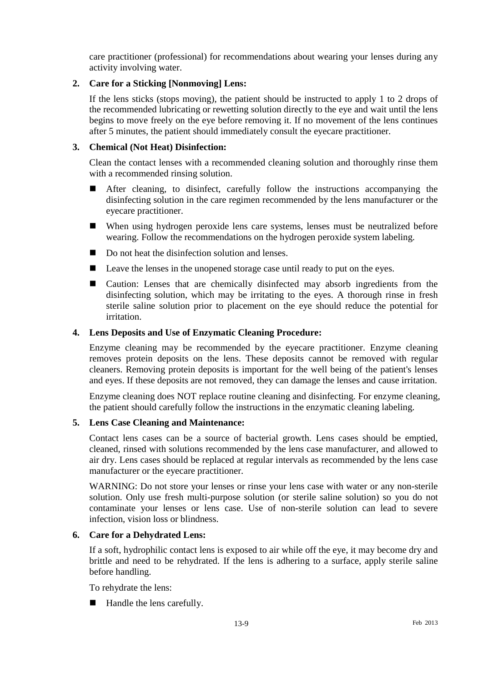care practitioner (professional) for recommendations about wearing your lenses during any activity involving water.

### **2. Care for a Sticking [Nonmoving] Lens:**

If the lens sticks (stops moving), the patient should be instructed to apply 1 to 2 drops of the recommended lubricating or rewetting solution directly to the eye and wait until the lens begins to move freely on the eye before removing it. If no movement of the lens continues after 5 minutes, the patient should immediately consult the eyecare practitioner.

### **3. Chemical (Not Heat) Disinfection:**

Clean the contact lenses with a recommended cleaning solution and thoroughly rinse them with a recommended rinsing solution.

- After cleaning, to disinfect, carefully follow the instructions accompanying the disinfecting solution in the care regimen recommended by the lens manufacturer or the eyecare practitioner.
- When using hydrogen peroxide lens care systems, lenses must be neutralized before wearing. Follow the recommendations on the hydrogen peroxide system labeling.
- Do not heat the disinfection solution and lenses.
- **Leave the lenses in the unopened storage case until ready to put on the eyes.**
- Caution: Lenses that are chemically disinfected may absorb ingredients from the disinfecting solution, which may be irritating to the eyes. A thorough rinse in fresh sterile saline solution prior to placement on the eye should reduce the potential for irritation.

#### **4. Lens Deposits and Use of Enzymatic Cleaning Procedure:**

Enzyme cleaning may be recommended by the eyecare practitioner. Enzyme cleaning removes protein deposits on the lens. These deposits cannot be removed with regular cleaners. Removing protein deposits is important for the well being of the patient's lenses and eyes. If these deposits are not removed, they can damage the lenses and cause irritation.

Enzyme cleaning does NOT replace routine cleaning and disinfecting. For enzyme cleaning, the patient should carefully follow the instructions in the enzymatic cleaning labeling.

#### **5. Lens Case Cleaning and Maintenance:**

Contact lens cases can be a source of bacterial growth. Lens cases should be emptied, cleaned, rinsed with solutions recommended by the lens case manufacturer, and allowed to air dry. Lens cases should be replaced at regular intervals as recommended by the lens case manufacturer or the eyecare practitioner.

WARNING: Do not store your lenses or rinse your lens case with water or any non-sterile solution. Only use fresh multi-purpose solution (or sterile saline solution) so you do not contaminate your lenses or lens case. Use of non-sterile solution can lead to severe infection, vision loss or blindness.

#### **6. Care for a Dehydrated Lens:**

If a soft, hydrophilic contact lens is exposed to air while off the eye, it may become dry and brittle and need to be rehydrated. If the lens is adhering to a surface, apply sterile saline before handling.

To rehydrate the lens:

■ Handle the lens carefully.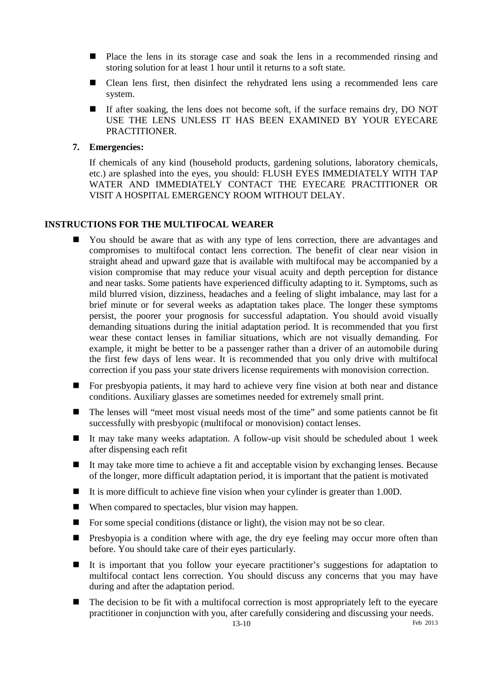- Place the lens in its storage case and soak the lens in a recommended rinsing and storing solution for at least 1 hour until it returns to a soft state.
- Clean lens first, then disinfect the rehydrated lens using a recommended lens care system.
- If after soaking, the lens does not become soft, if the surface remains dry, DO NOT USE THE LENS UNLESS IT HAS BEEN EXAMINED BY YOUR EYECARE PRACTITIONER.
- **7. Emergencies:**

If chemicals of any kind (household products, gardening solutions, laboratory chemicals, etc.) are splashed into the eyes, you should: FLUSH EYES IMMEDIATELY WITH TAP WATER AND IMMEDIATELY CONTACT THE EYECARE PRACTITIONER OR VISIT A HOSPITAL EMERGENCY ROOM WITHOUT DELAY.

#### **INSTRUCTIONS FOR THE MULTIFOCAL WEARER**

- You should be aware that as with any type of lens correction, there are advantages and compromises to multifocal contact lens correction. The benefit of clear near vision in straight ahead and upward gaze that is available with multifocal may be accompanied by a vision compromise that may reduce your visual acuity and depth perception for distance and near tasks. Some patients have experienced difficulty adapting to it. Symptoms, such as mild blurred vision, dizziness, headaches and a feeling of slight imbalance, may last for a brief minute or for several weeks as adaptation takes place. The longer these symptoms persist, the poorer your prognosis for successful adaptation. You should avoid visually demanding situations during the initial adaptation period. It is recommended that you first wear these contact lenses in familiar situations, which are not visually demanding. For example, it might be better to be a passenger rather than a driver of an automobile during the first few days of lens wear. It is recommended that you only drive with multifocal correction if you pass your state drivers license requirements with monovision correction.
- For presbyopia patients, it may hard to achieve very fine vision at both near and distance conditions. Auxiliary glasses are sometimes needed for extremely small print.
- The lenses will "meet most visual needs most of the time" and some patients cannot be fit successfully with presbyopic (multifocal or monovision) contact lenses.
- It may take many weeks adaptation. A follow-up visit should be scheduled about 1 week after dispensing each refit
- It may take more time to achieve a fit and acceptable vision by exchanging lenses. Because of the longer, more difficult adaptation period, it is important that the patient is motivated
- It is more difficult to achieve fine vision when your cylinder is greater than  $1.00D$ .
- When compared to spectacles, blur vision may happen.
- For some special conditions (distance or light), the vision may not be so clear.
- **Presbyopia** is a condition where with age, the dry eye feeling may occur more often than before. You should take care of their eyes particularly.
- It is important that you follow your eyecare practitioner's suggestions for adaptation to multifocal contact lens correction. You should discuss any concerns that you may have during and after the adaptation period.
- $\blacksquare$  The decision to be fit with a multifocal correction is most appropriately left to the eyecare practitioner in conjunction with you, after carefully considering and discussing your needs.<br><sup>13-10</sup>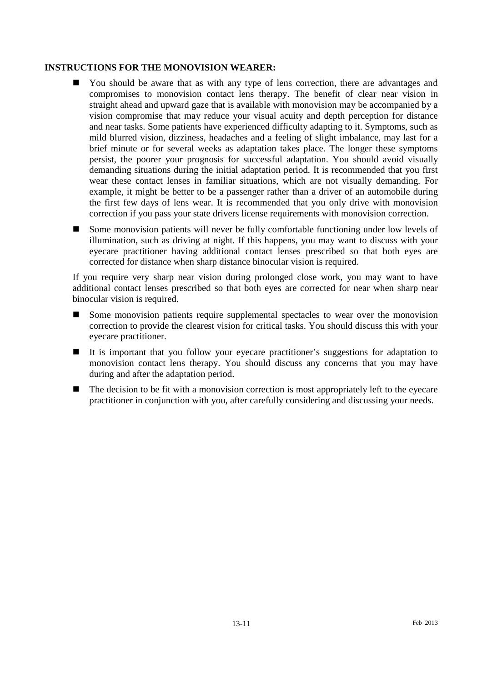### **INSTRUCTIONS FOR THE MONOVISION WEARER:**

- You should be aware that as with any type of lens correction, there are advantages and compromises to monovision contact lens therapy. The benefit of clear near vision in straight ahead and upward gaze that is available with monovision may be accompanied by a vision compromise that may reduce your visual acuity and depth perception for distance and near tasks. Some patients have experienced difficulty adapting to it. Symptoms, such as mild blurred vision, dizziness, headaches and a feeling of slight imbalance, may last for a brief minute or for several weeks as adaptation takes place. The longer these symptoms persist, the poorer your prognosis for successful adaptation. You should avoid visually demanding situations during the initial adaptation period. It is recommended that you first wear these contact lenses in familiar situations, which are not visually demanding. For example, it might be better to be a passenger rather than a driver of an automobile during the first few days of lens wear. It is recommended that you only drive with monovision correction if you pass your state drivers license requirements with monovision correction.
- Some monovision patients will never be fully comfortable functioning under low levels of illumination, such as driving at night. If this happens, you may want to discuss with your eyecare practitioner having additional contact lenses prescribed so that both eyes are corrected for distance when sharp distance binocular vision is required.

If you require very sharp near vision during prolonged close work, you may want to have additional contact lenses prescribed so that both eyes are corrected for near when sharp near binocular vision is required.

- Some monovision patients require supplemental spectacles to wear over the monovision correction to provide the clearest vision for critical tasks. You should discuss this with your eyecare practitioner.
- It is important that you follow your eyecare practitioner's suggestions for adaptation to monovision contact lens therapy. You should discuss any concerns that you may have during and after the adaptation period.
- $\blacksquare$  The decision to be fit with a monovision correction is most appropriately left to the eyecare practitioner in conjunction with you, after carefully considering and discussing your needs.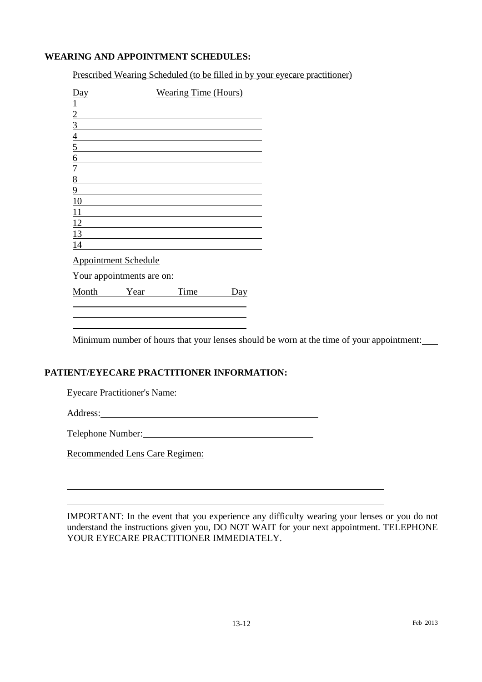# **WEARING AND APPOINTMENT SCHEDULES:**

Prescribed Wearing Scheduled (to be filled in by your eyecare practitioner)

| Day             | <b>Wearing Time (Hours)</b> |
|-----------------|-----------------------------|
|                 |                             |
| $\overline{2}$  |                             |
| $\overline{3}$  |                             |
|                 |                             |
| $\frac{4}{5}$   |                             |
| $\underline{6}$ |                             |
| $\overline{1}$  |                             |
| 8               |                             |
| 9               |                             |
| 10              |                             |
| 11              |                             |
| 12              |                             |
| 13              |                             |
| 14              |                             |
|                 |                             |

Appointment Schedule

Your appointments are on:

Month Year Time Day 

Minimum number of hours that your lenses should be worn at the time of your appointment:

#### **PATIENT/EYECARE PRACTITIONER INFORMATION:**

Eyecare Practitioner's Name:

Address:

 $\overline{a}$  $\overline{a}$  l l

Telephone Number:

Recommended Lens Care Regimen:

IMPORTANT: In the event that you experience any difficulty wearing your lenses or you do not understand the instructions given you, DO NOT WAIT for your next appointment. TELEPHONE YOUR EYECARE PRACTITIONER IMMEDIATELY.

 $\overline{a}$